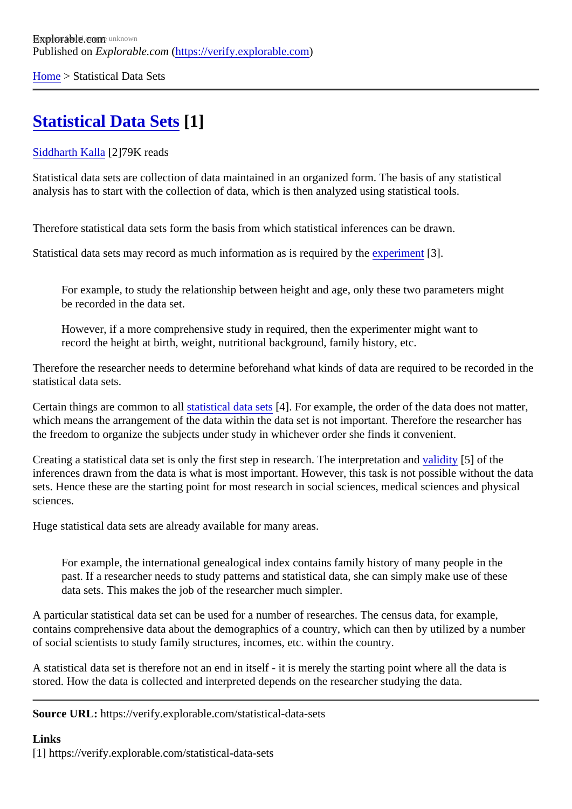[Home](https://verify.explorable.com/)> Statistical Data Sets

## **[Statistical Data Sets](https://verify.explorable.com/statistical-data-sets)<sup>1</sup>]**

[Siddharth Kalla](https://verify.explorable.com/users/siddharth)<sup>2</sup>]79K reads

Statistical data sets are collection of data maintained in an organized form. The basis of any statistical analysis has to start with the collection of data, which is then analyzed using statistical tools.

Therefore statistical data sets form the basis from which statistical inferences can be drawn.

Statistical data sets may record as much information as is required by the entils.

For example, to study the relationship between height and age, only these two parameters might be recorded in the data set.

However, if a more comprehensive study in required, then the experimenter might want to record the height at birth, weight, nutritional background, family history, etc.

Therefore the researcher needs to determine beforehand what kinds of data are required to be recorded in statistical data sets.

Certain things are common to athestical data set<sup>4</sup>]. For example, the order of the data does not matter, which means the arrangement of the data within the data set is not important. Therefore the researcher has the freedom to organize the subjects under study in whichever order she finds it convenient.

Creating a statistical data set is only the first step in research. The interpretation dity of the inferences drawn from the data is what is most important. However, this task is not possible without the data sets. Hence these are the starting point for most research in social sciences, medical sciences and physic sciences.

Huge statistical data sets are already available for many areas.

For example, the international genealogical index contains family history of many people in the past. If a researcher needs to study patterns and statistical data, she can simply make use of these data sets. This makes the job of the researcher much simpler.

A particular statistical data set can be used for a number of researches. The census data, for example, contains comprehensive data about the demographics of a country, which can then by utilized by a number of social scientists to study family structures, incomes, etc. within the country.

A statistical data set is therefore not an end in itself - it is merely the starting point where all the data is stored. How the data is collected and interpreted depends on the researcher studying the data.

Source URL: https://verify.explorable.com/statistical-data-sets